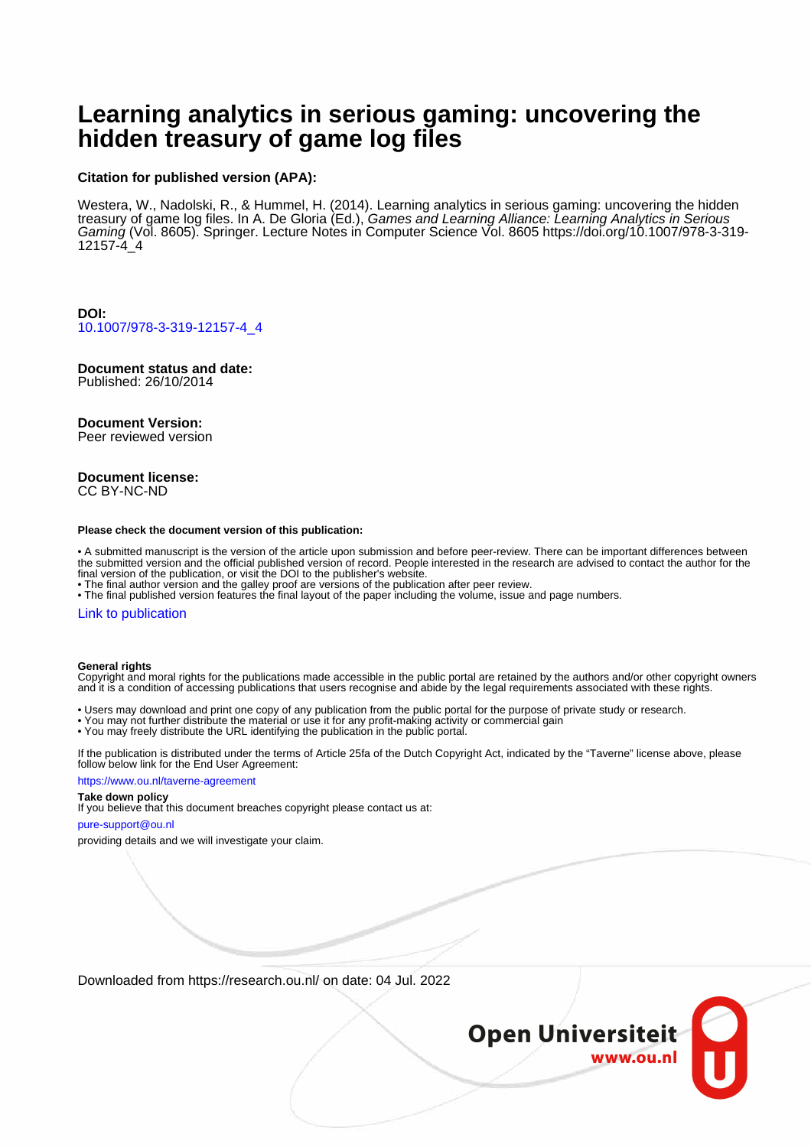# **Learning analytics in serious gaming: uncovering the hidden treasury of game log files**

### **Citation for published version (APA):**

Westera, W., Nadolski, R., & Hummel, H. (2014). Learning analytics in serious gaming: uncovering the hidden treasury of game log files. In A. De Gloria (Ed.), Games and Learning Alliance: Learning Analytics in Serious Gaming (Vol. 8605). Springer. Lecture Notes in Computer Science Vol. 8605 [https://doi.org/10.1007/978-3-319-](https://doi.org/10.1007/978-3-319-12157-4_4)  $12157 - 4$ <sup>2</sup>

**DOI:** [10.1007/978-3-319-12157-4\\_4](https://doi.org/10.1007/978-3-319-12157-4_4)

#### **Document status and date:** Published: 26/10/2014

### **Document Version:**

Peer reviewed version

#### **Document license:** CC BY-NC-ND

#### **Please check the document version of this publication:**

• A submitted manuscript is the version of the article upon submission and before peer-review. There can be important differences between the submitted version and the official published version of record. People interested in the research are advised to contact the author for the final version of the publication, or visit the DOI to the publisher's website.

• The final author version and the galley proof are versions of the publication after peer review.

• The final published version features the final layout of the paper including the volume, issue and page numbers.

#### [Link to publication](https://research.ou.nl/en/publications/d19b6c68-e37b-4e90-91fb-bc65f8c831e8)

#### **General rights**

Copyright and moral rights for the publications made accessible in the public portal are retained by the authors and/or other copyright owners and it is a condition of accessing publications that users recognise and abide by the legal requirements associated with these rights.

- Users may download and print one copy of any publication from the public portal for the purpose of private study or research.
- You may not further distribute the material or use it for any profit-making activity or commercial gain
- You may freely distribute the URL identifying the publication in the public portal.

If the publication is distributed under the terms of Article 25fa of the Dutch Copyright Act, indicated by the "Taverne" license above, please follow below link for the End User Agreement:

#### https://www.ou.nl/taverne-agreement

### **Take down policy**

If you believe that this document breaches copyright please contact us at:

#### pure-support@ou.nl

providing details and we will investigate your claim.

Downloaded from https://research.ou.nl/ on date: 04 Jul. 2022

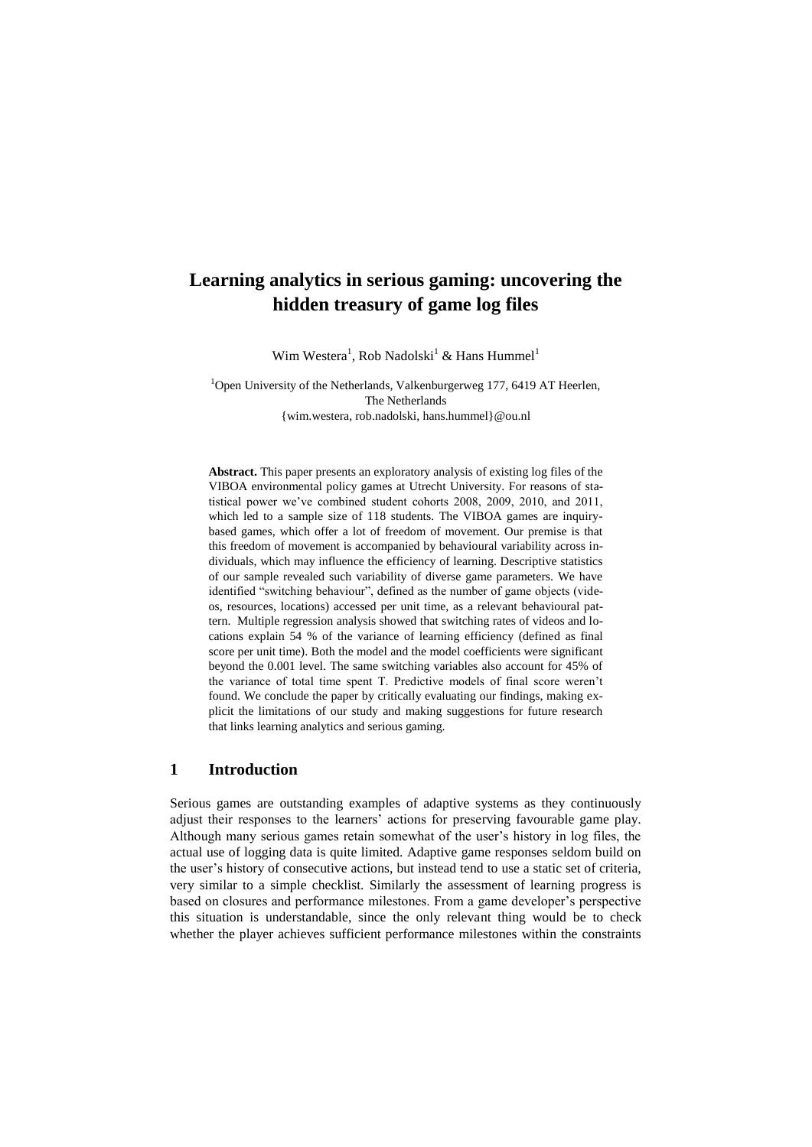# **Learning analytics in serious gaming: uncovering the hidden treasury of game log files**

Wim Westera<sup>1</sup>, Rob Nadolski<sup>1</sup> & Hans Hummel<sup>1</sup>

 $1$ Open University of the Netherlands, Valkenburgerweg 177, 6419 AT Heerlen, The Netherlands {wim.westera, rob.nadolski, hans.hummel}@ou.nl

**Abstract.** This paper presents an exploratory analysis of existing log files of the VIBOA environmental policy games at Utrecht University. For reasons of statistical power we've combined student cohorts 2008, 2009, 2010, and 2011, which led to a sample size of 118 students. The VIBOA games are inquirybased games, which offer a lot of freedom of movement. Our premise is that this freedom of movement is accompanied by behavioural variability across individuals, which may influence the efficiency of learning. Descriptive statistics of our sample revealed such variability of diverse game parameters. We have identified "switching behaviour", defined as the number of game objects (videos, resources, locations) accessed per unit time, as a relevant behavioural pattern. Multiple regression analysis showed that switching rates of videos and locations explain 54 % of the variance of learning efficiency (defined as final score per unit time). Both the model and the model coefficients were significant beyond the 0.001 level. The same switching variables also account for 45% of the variance of total time spent T. Predictive models of final score weren't found. We conclude the paper by critically evaluating our findings, making explicit the limitations of our study and making suggestions for future research that links learning analytics and serious gaming.

### **1 Introduction**

Serious games are outstanding examples of adaptive systems as they continuously adjust their responses to the learners' actions for preserving favourable game play. Although many serious games retain somewhat of the user's history in log files, the actual use of logging data is quite limited. Adaptive game responses seldom build on the user's history of consecutive actions, but instead tend to use a static set of criteria, very similar to a simple checklist. Similarly the assessment of learning progress is based on closures and performance milestones. From a game developer's perspective this situation is understandable, since the only relevant thing would be to check whether the player achieves sufficient performance milestones within the constraints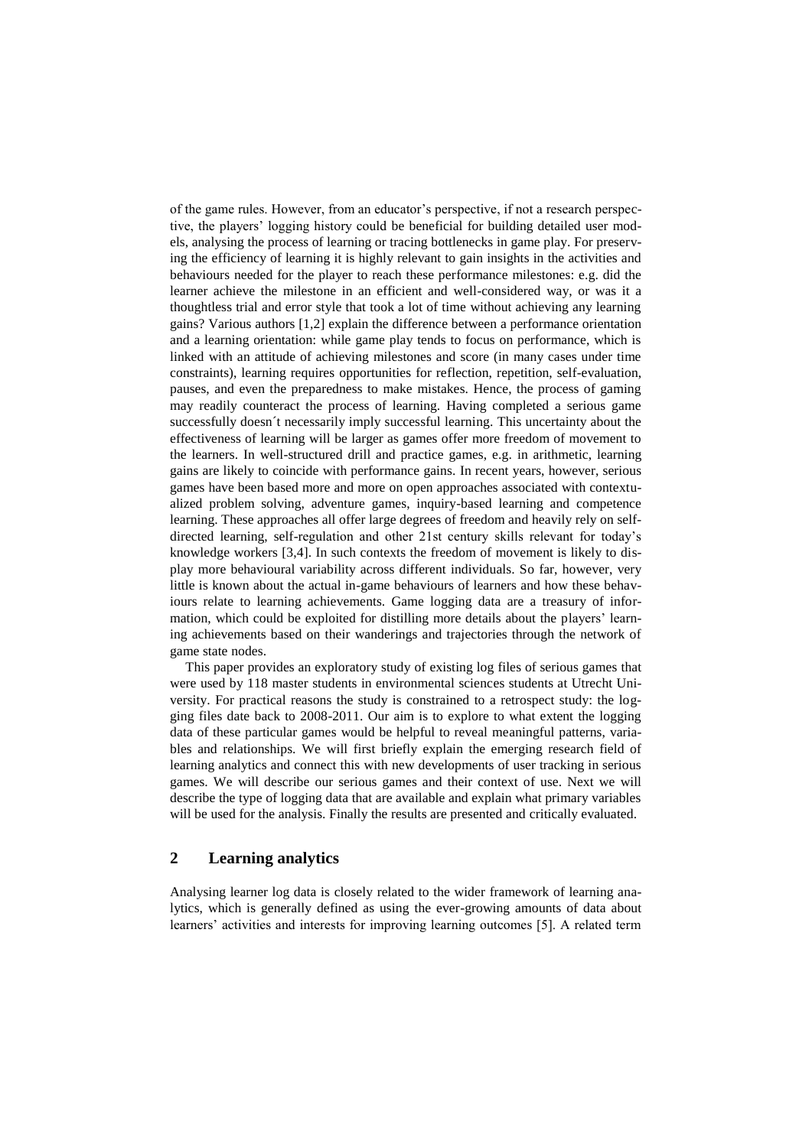of the game rules. However, from an educator's perspective, if not a research perspective, the players' logging history could be beneficial for building detailed user models, analysing the process of learning or tracing bottlenecks in game play. For preserving the efficiency of learning it is highly relevant to gain insights in the activities and behaviours needed for the player to reach these performance milestones: e.g. did the learner achieve the milestone in an efficient and well-considered way, or was it a thoughtless trial and error style that took a lot of time without achieving any learning gains? Various authors [1,2] explain the difference between a performance orientation and a learning orientation: while game play tends to focus on performance, which is linked with an attitude of achieving milestones and score (in many cases under time constraints), learning requires opportunities for reflection, repetition, self-evaluation, pauses, and even the preparedness to make mistakes. Hence, the process of gaming may readily counteract the process of learning. Having completed a serious game successfully doesn´t necessarily imply successful learning. This uncertainty about the effectiveness of learning will be larger as games offer more freedom of movement to the learners. In well-structured drill and practice games, e.g. in arithmetic, learning gains are likely to coincide with performance gains. In recent years, however, serious games have been based more and more on open approaches associated with contextualized problem solving, adventure games, inquiry-based learning and competence learning. These approaches all offer large degrees of freedom and heavily rely on selfdirected learning, self-regulation and other 21st century skills relevant for today's knowledge workers [3,4]. In such contexts the freedom of movement is likely to display more behavioural variability across different individuals. So far, however, very little is known about the actual in-game behaviours of learners and how these behaviours relate to learning achievements. Game logging data are a treasury of information, which could be exploited for distilling more details about the players' learning achievements based on their wanderings and trajectories through the network of game state nodes.

This paper provides an exploratory study of existing log files of serious games that were used by 118 master students in environmental sciences students at Utrecht University. For practical reasons the study is constrained to a retrospect study: the logging files date back to 2008-2011. Our aim is to explore to what extent the logging data of these particular games would be helpful to reveal meaningful patterns, variables and relationships. We will first briefly explain the emerging research field of learning analytics and connect this with new developments of user tracking in serious games. We will describe our serious games and their context of use. Next we will describe the type of logging data that are available and explain what primary variables will be used for the analysis. Finally the results are presented and critically evaluated.

### **2 Learning analytics**

Analysing learner log data is closely related to the wider framework of learning analytics, which is generally defined as using the ever-growing amounts of data about learners' activities and interests for improving learning outcomes [5]. A related term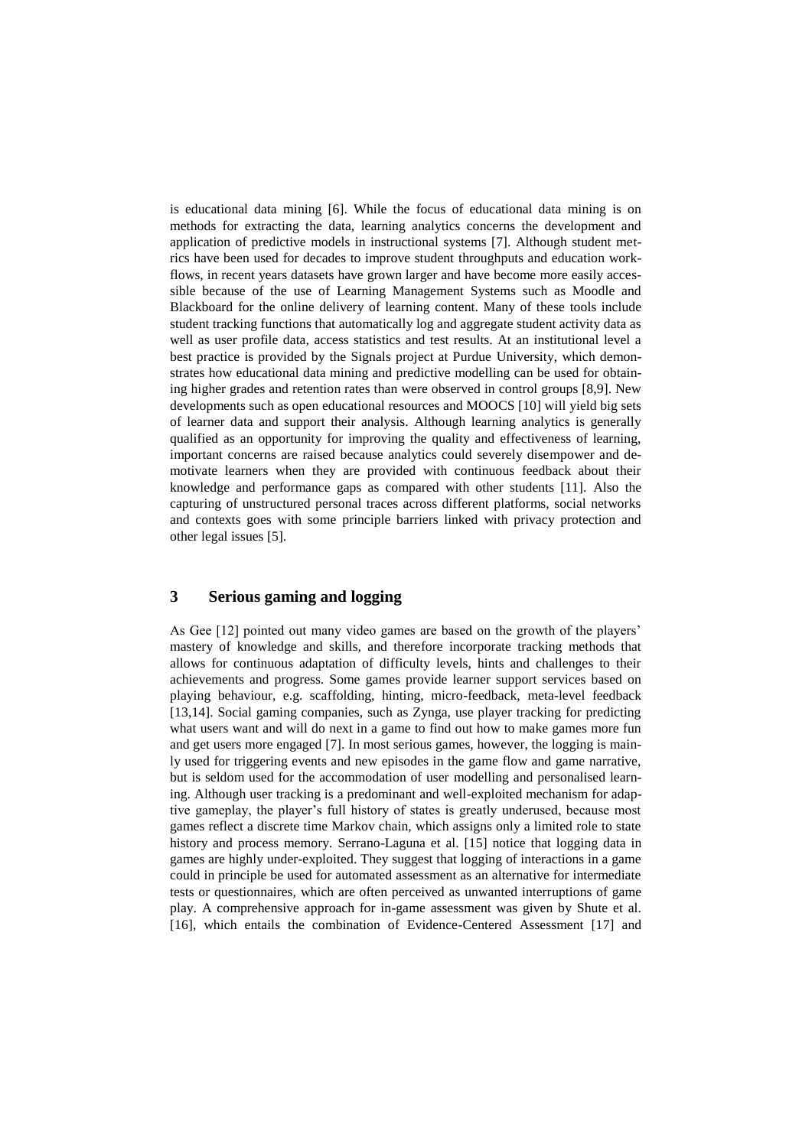is educational data mining [6]. While the focus of educational data mining is on methods for extracting the data, learning analytics concerns the development and application of predictive models in instructional systems [7]. Although student metrics have been used for decades to improve student throughputs and education workflows, in recent years datasets have grown larger and have become more easily accessible because of the use of Learning Management Systems such as Moodle and Blackboard for the online delivery of learning content. Many of these tools include student tracking functions that automatically log and aggregate student activity data as well as user profile data, access statistics and test results. At an institutional level a best practice is provided by the Signals project at Purdue University, which demonstrates how educational data mining and predictive modelling can be used for obtaining higher grades and retention rates than were observed in control groups [8,9]. New developments such as open educational resources and MOOCS [10] will yield big sets of learner data and support their analysis. Although learning analytics is generally qualified as an opportunity for improving the quality and effectiveness of learning, important concerns are raised because analytics could severely disempower and demotivate learners when they are provided with continuous feedback about their knowledge and performance gaps as compared with other students [11]. Also the capturing of unstructured personal traces across different platforms, social networks and contexts goes with some principle barriers linked with privacy protection and other legal issues [5].

### **3 Serious gaming and logging**

As Gee [12] pointed out many video games are based on the growth of the players' mastery of knowledge and skills, and therefore incorporate tracking methods that allows for continuous adaptation of difficulty levels, hints and challenges to their achievements and progress. Some games provide learner support services based on playing behaviour, e.g. scaffolding, hinting, micro-feedback, meta-level feedback [13,14]. Social gaming companies, such as Zynga, use player tracking for predicting what users want and will do next in a game to find out how to make games more fun and get users more engaged [7]. In most serious games, however, the logging is mainly used for triggering events and new episodes in the game flow and game narrative, but is seldom used for the accommodation of user modelling and personalised learning. Although user tracking is a predominant and well-exploited mechanism for adaptive gameplay, the player's full history of states is greatly underused, because most games reflect a discrete time Markov chain, which assigns only a limited role to state history and process memory. Serrano-Laguna et al. [15] notice that logging data in games are highly under-exploited. They suggest that logging of interactions in a game could in principle be used for automated assessment as an alternative for intermediate tests or questionnaires, which are often perceived as unwanted interruptions of game play. A comprehensive approach for in-game assessment was given by Shute et al. [16], which entails the combination of Evidence-Centered Assessment [17] and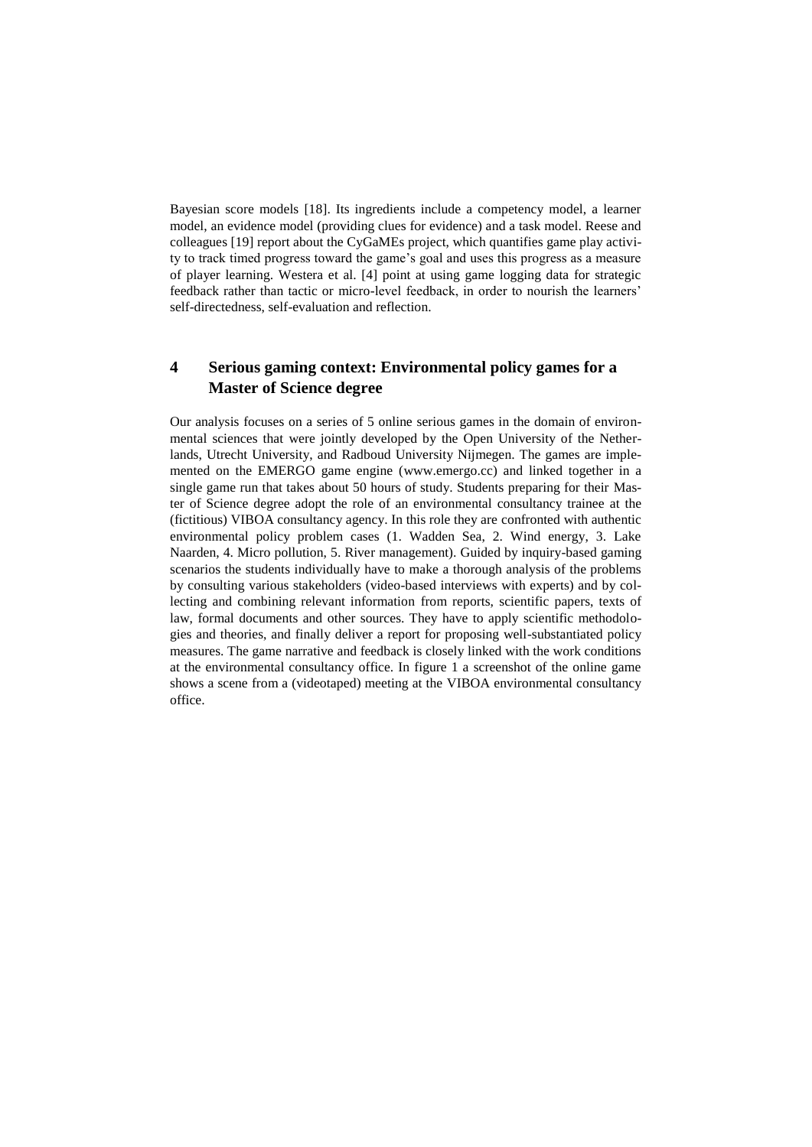Bayesian score models [18]. Its ingredients include a competency model, a learner model, an evidence model (providing clues for evidence) and a task model. Reese and colleagues [19] report about the CyGaMEs project, which quantifies game play activity to track timed progress toward the game's goal and uses this progress as a measure of player learning. Westera et al. [4] point at using game logging data for strategic feedback rather than tactic or micro-level feedback, in order to nourish the learners' self-directedness, self-evaluation and reflection.

## **4 Serious gaming context: Environmental policy games for a Master of Science degree**

Our analysis focuses on a series of 5 online serious games in the domain of environmental sciences that were jointly developed by the Open University of the Netherlands, Utrecht University, and Radboud University Nijmegen. The games are implemented on the EMERGO game engine [\(www.emergo.cc\)](http://www.emergo.cc/) and linked together in a single game run that takes about 50 hours of study. Students preparing for their Master of Science degree adopt the role of an environmental consultancy trainee at the (fictitious) VIBOA consultancy agency. In this role they are confronted with authentic environmental policy problem cases (1. Wadden Sea, 2. Wind energy, 3. Lake Naarden, 4. Micro pollution, 5. River management). Guided by inquiry-based gaming scenarios the students individually have to make a thorough analysis of the problems by consulting various stakeholders (video-based interviews with experts) and by collecting and combining relevant information from reports, scientific papers, texts of law, formal documents and other sources. They have to apply scientific methodologies and theories, and finally deliver a report for proposing well-substantiated policy measures. The game narrative and feedback is closely linked with the work conditions at the environmental consultancy office. In figure 1 a screenshot of the online game shows a scene from a (videotaped) meeting at the VIBOA environmental consultancy office.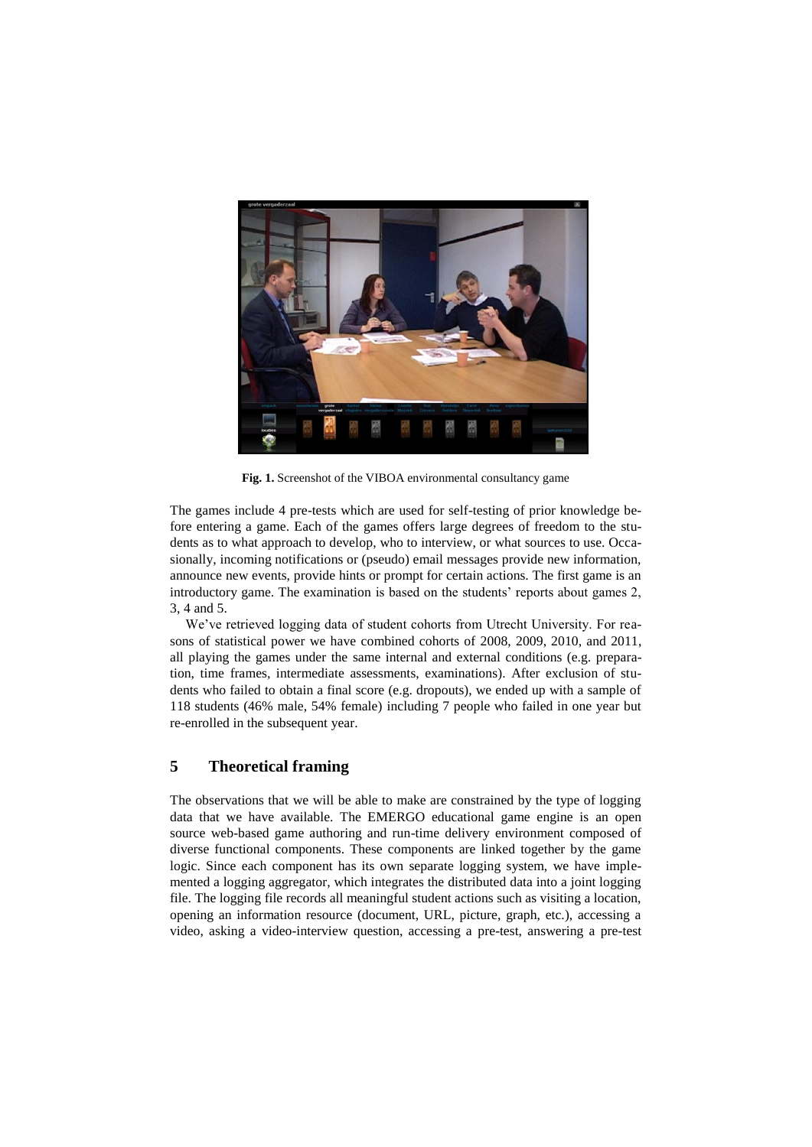

**Fig. 1.** Screenshot of the VIBOA environmental consultancy game

The games include 4 pre-tests which are used for self-testing of prior knowledge before entering a game. Each of the games offers large degrees of freedom to the students as to what approach to develop, who to interview, or what sources to use. Occasionally, incoming notifications or (pseudo) email messages provide new information, announce new events, provide hints or prompt for certain actions. The first game is an introductory game. The examination is based on the students' reports about games 2, 3, 4 and 5.

We've retrieved logging data of student cohorts from Utrecht University. For reasons of statistical power we have combined cohorts of 2008, 2009, 2010, and 2011, all playing the games under the same internal and external conditions (e.g. preparation, time frames, intermediate assessments, examinations). After exclusion of students who failed to obtain a final score (e.g. dropouts), we ended up with a sample of 118 students (46% male, 54% female) including 7 people who failed in one year but re-enrolled in the subsequent year.

### **5 Theoretical framing**

The observations that we will be able to make are constrained by the type of logging data that we have available. The EMERGO educational game engine is an open source web-based game authoring and run-time delivery environment composed of diverse functional components. These components are linked together by the game logic. Since each component has its own separate logging system, we have implemented a logging aggregator, which integrates the distributed data into a joint logging file. The logging file records all meaningful student actions such as visiting a location, opening an information resource (document, URL, picture, graph, etc.), accessing a video, asking a video-interview question, accessing a pre-test, answering a pre-test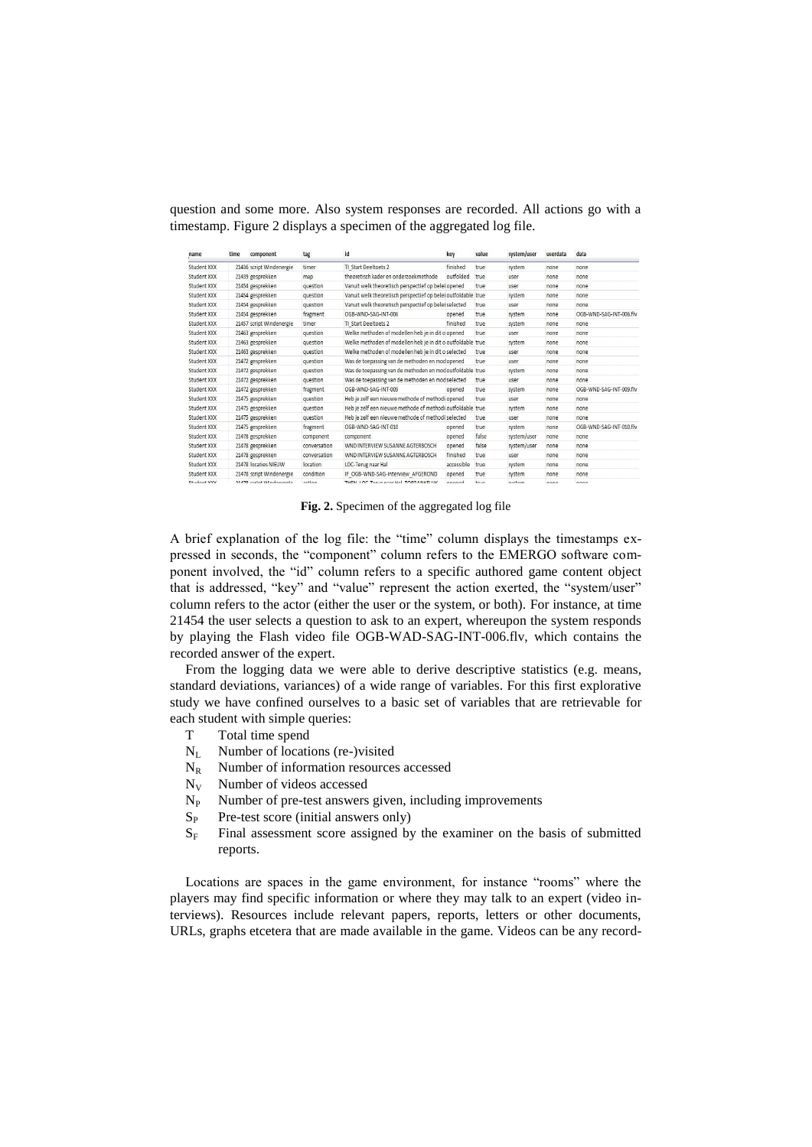question and some more. Also system responses are recorded. All actions go with a timestamp. Figure 2 displays a specimen of the aggregated log file.

| name        | time | component                | tag          | id                                                            | key        | value | system/user | userdata | data                    |
|-------------|------|--------------------------|--------------|---------------------------------------------------------------|------------|-------|-------------|----------|-------------------------|
| Student XXX |      | 21436 script Windenergie | timer        | TI Start Deeltoets 2                                          | finished   | true  | system      | none     | none                    |
| Student XXX |      | 21439 gesprekken         | map          | theoretisch kader en onderzoekmethode                         | outfolded  | true  | user        | none     | none                    |
| Student XXX |      | 21454 gesprekken         | question     | Vanuit welk theoretisch perspectief op belei opened           |            | true  | user        | none     | none                    |
| Student XXX |      | 21454 gesprekken         | question     | Vanuit welk theoretisch perspectief op belei outfoldable true |            |       | system      | none     | none                    |
| Student XXX |      | 21454 gesprekken         | question     | Vanuit welk theoretisch perspectief op belei selected         |            | true  | user        | none     | none                    |
| Student XXX |      | 21454 gesprekken         | fragment     | OGB-WND-SAG-INT-006                                           | opened     | true  | system      | none     | OGB-WND-SAG-INT-006.flv |
| Student XXX |      | 21457 script Windenergie | timer        | TI Start Deeltoets 2                                          | finished   | true  | system      | none     | none                    |
| Student XXX |      | 21463 gesprekken         | question     | Welke methoden of modellen heb ie in dit o opened             |            | true  | user        | none     | none                    |
| Student XXX |      | 21463 gesprekken         | question     | Welke methoden of modellen heb je in dit o outfoldable true   |            |       | system      | none     | none                    |
| Student XXX |      | 21463 gesprekken         | question     | Welke methoden of modellen heb ie in dit o selected           |            | true  | user        | none     | none                    |
| Student XXX |      | 21472 gesprekken         | question     | Was de toepassing van de methoden en mod opened               |            | true  | user        | none     | none                    |
| Student XXX |      | 21472 gesprekken         | question     | Was de toepassing van de methoden en mod outfoldable true     |            |       | system      | none     | none                    |
| Student XXX |      | 21472 gesprekken         | question     | Was de toepassing van de methoden en mod selected             |            | true  | user        | none     | none                    |
| Student XXX |      | 21472 gesprekken         | fragment     | OGB-WND-SAG-INT-009                                           | opened     | true  | system      | none     | OGB-WND-SAG-INT-009.flv |
| Student XXX |      | 21475 gesprekken         | question     | Heb je zelf een nieuwe methode of methodi opened              |            | true  | user        | none     | none                    |
| Student XXX |      | 21475 gesprekken         | question     | Heb ie zelf een nieuwe methode of methodi outfoldable true    |            |       | system      | none     | none                    |
| Student XXX |      | 21475 gesprekken         | question     | Heb je zelf een nieuwe methode of methodi selected            |            | true  | user        | none     | none                    |
| Student XXX |      | 21475 gesprekken         | fragment     | OGB-WND-SAG-INT-010                                           | opened     | true  | system      | none     | OGB-WND-SAG-INT-010.flv |
| Student XXX |      | 21478 gesprekken         | component    | component                                                     | opened     | false | system/user | none     | none                    |
| Student XXX |      | 21478 gesprekken         | conversation | WND INTERVIEW SUSANNE AGTERBOSCH                              | opened     | false | system/user | none     | none                    |
| Student XXX |      | 21478 gesprekken         | conversation | WND INTERVIEW SUSANNE AGTERBOSCH                              | finished   | true  | user        | none     | none                    |
| Student XXX |      | 21478 locaties NIFUW     | location     | LOC-Terug naar Hal                                            | accessible | true  | system      | none     | none                    |
| Student XXX |      | 21478 script Windenergie | condition    | IF OGB-WND-SAG-interview AFGEROND                             | opened     | true  | system      | none     | none                    |
| Ctudont VVV |      | 21479 cerint Windonorgio | action       | THEN LOC Topic naar Hall TOECANIKELIJK                        | ananad     | trun  | curtam      | nono     | nono                    |

**Fig. 2.** Specimen of the aggregated log file

A brief explanation of the log file: the "time" column displays the timestamps expressed in seconds, the "component" column refers to the EMERGO software component involved, the "id" column refers to a specific authored game content object that is addressed, "key" and "value" represent the action exerted, the "system/user" column refers to the actor (either the user or the system, or both). For instance, at time 21454 the user selects a question to ask to an expert, whereupon the system responds by playing the Flash video file OGB-WAD-SAG-INT-006.flv, which contains the recorded answer of the expert.

From the logging data we were able to derive descriptive statistics (e.g. means, standard deviations, variances) of a wide range of variables. For this first explorative study we have confined ourselves to a basic set of variables that are retrievable for each student with simple queries:

- T Total time spend
- N<sup>L</sup> Number of locations (re-)visited
- $N_R$  Number of information resources accessed
- $N_v$  Number of videos accessed
- $N_P$  Number of pre-test answers given, including improvements
- $S_P$  Pre-test score (initial answers only)
- $S_F$  Final assessment score assigned by the examiner on the basis of submitted reports.

Locations are spaces in the game environment, for instance "rooms" where the players may find specific information or where they may talk to an expert (video interviews). Resources include relevant papers, reports, letters or other documents, URLs, graphs etcetera that are made available in the game. Videos can be any record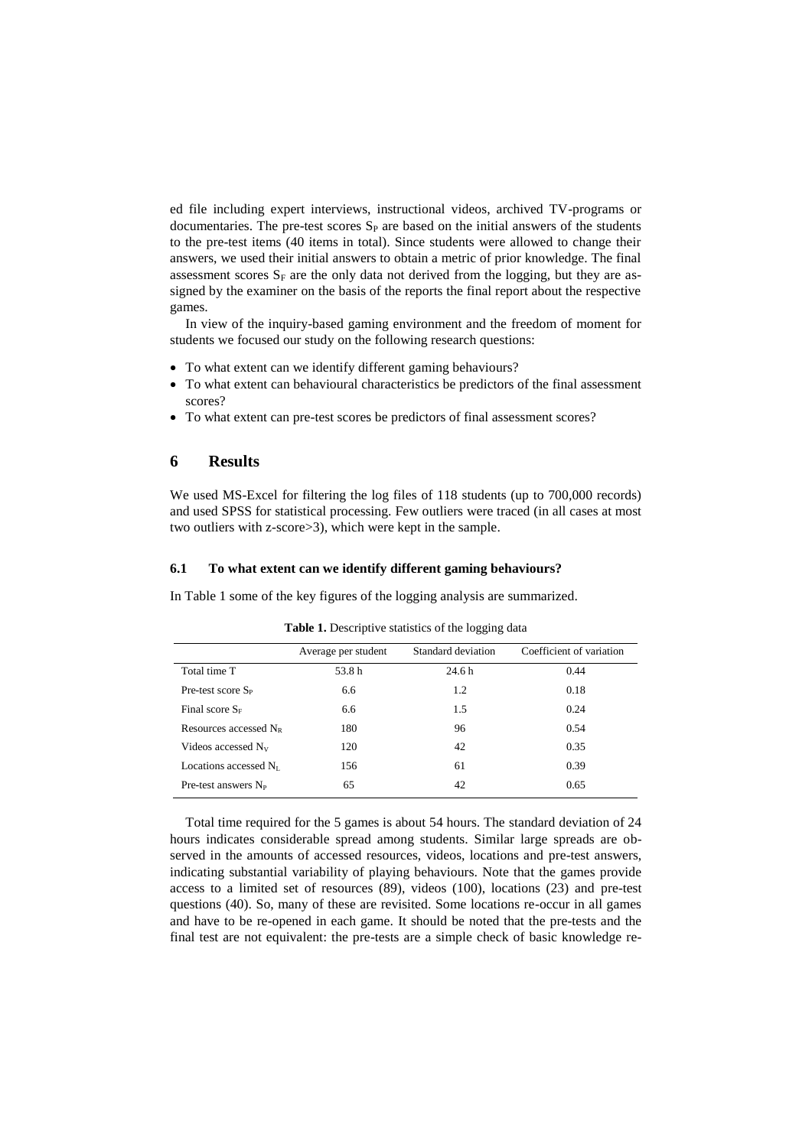ed file including expert interviews, instructional videos, archived TV-programs or documentaries. The pre-test scores  $S<sub>P</sub>$  are based on the initial answers of the students to the pre-test items (40 items in total). Since students were allowed to change their answers, we used their initial answers to obtain a metric of prior knowledge. The final assessment scores  $S_F$  are the only data not derived from the logging, but they are assigned by the examiner on the basis of the reports the final report about the respective games.

In view of the inquiry-based gaming environment and the freedom of moment for students we focused our study on the following research questions:

- To what extent can we identify different gaming behaviours?
- To what extent can behavioural characteristics be predictors of the final assessment scores?
- To what extent can pre-test scores be predictors of final assessment scores?

#### **6 Results**

We used MS-Excel for filtering the log files of 118 students (up to 700,000 records) and used SPSS for statistical processing. Few outliers were traced (in all cases at most two outliers with z-score>3), which were kept in the sample.

#### **6.1 To what extent can we identify different gaming behaviours?**

In Table 1 some of the key figures of the logging analysis are summarized.

|                          | Average per student | Standard deviation | Coefficient of variation |
|--------------------------|---------------------|--------------------|--------------------------|
| Total time T             | 53.8h               | 24.6 <sub>h</sub>  | 0.44                     |
| Pre-test score $S_{P}$   | 6.6                 | 1.2                | 0.18                     |
| Final score $S_F$        | 6.6                 | 1.5                | 0.24                     |
| Resources accessed $N_R$ | 180                 | 96                 | 0.54                     |
| Videos accessed $N_v$    | 120                 | 42                 | 0.35                     |
| Locations accessed $NL$  | 156                 | 61                 | 0.39                     |
| Pre-test answers $N_P$   | 65                  | 42                 | 0.65                     |

**Table 1.** Descriptive statistics of the logging data

Total time required for the 5 games is about 54 hours. The standard deviation of 24 hours indicates considerable spread among students. Similar large spreads are observed in the amounts of accessed resources, videos, locations and pre-test answers, indicating substantial variability of playing behaviours. Note that the games provide access to a limited set of resources (89), videos (100), locations (23) and pre-test questions (40). So, many of these are revisited. Some locations re-occur in all games and have to be re-opened in each game. It should be noted that the pre-tests and the final test are not equivalent: the pre-tests are a simple check of basic knowledge re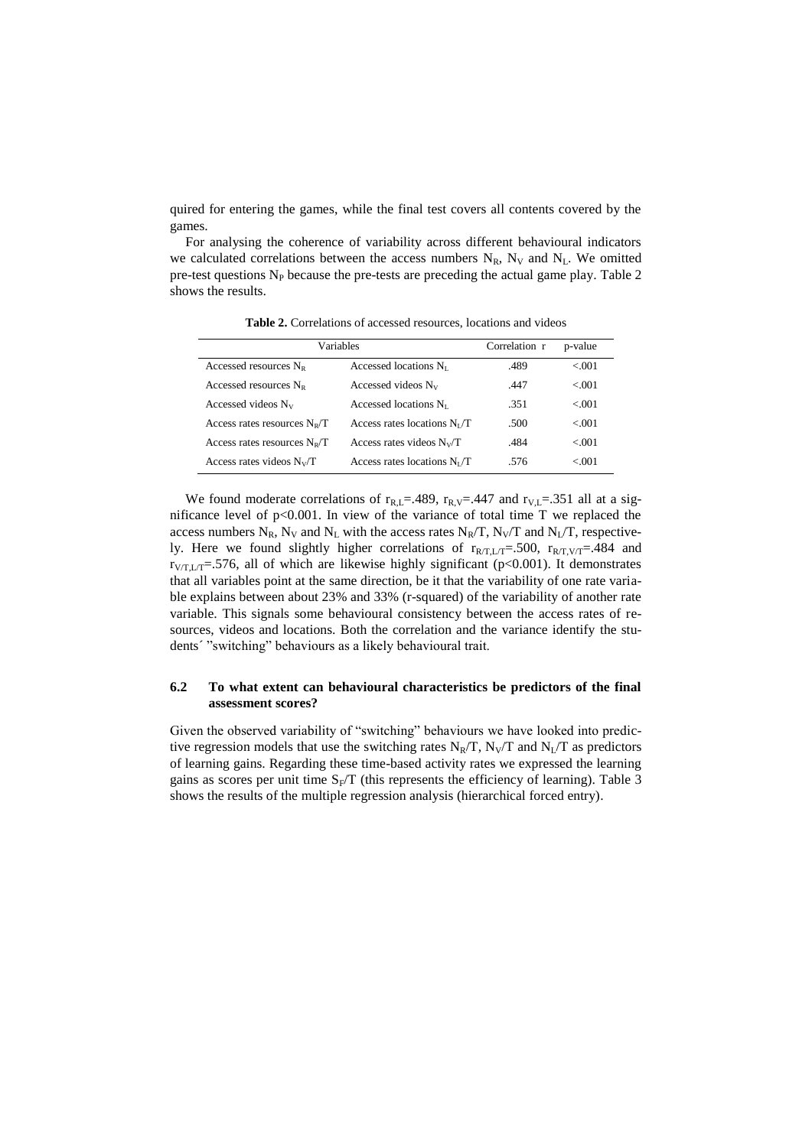quired for entering the games, while the final test covers all contents covered by the games.

For analysing the coherence of variability across different behavioural indicators we calculated correlations between the access numbers  $N_R$ ,  $N_V$  and  $N_L$ . We omitted pre-test questions  $N_P$  because the pre-tests are preceding the actual game play. Table 2 shows the results.

| Variables                      | Correlation r                  | p-value |         |
|--------------------------------|--------------------------------|---------|---------|
| Accessed resources $N_R$       | Accessed locations $N_L$       | .489    | < 0.01  |
| Accessed resources $N_R$       | Accessed videos $N_v$          | .447    | < 0.01  |
| Accessed videos N <sub>v</sub> | Accessed locations $NL$        | .351    | < 0.01  |
| Access rates resources $N_R/T$ | Access rates locations $N_I/T$ | .500    | < 0.01  |
| Access rates resources $N_R/T$ | Access rates videos $N_v/T$    | .484    | < 0.01  |
| Access rates videos $N_v/T$    | Access rates locations $N_I/T$ | -576    | $<$ 001 |

**Table 2.** Correlations of accessed resources, locations and videos

We found moderate correlations of  $r_{R,L}$ =.489,  $r_{R,V}$ =.447 and  $r_{V,L}$ =.351 all at a significance level of  $p<0.001$ . In view of the variance of total time T we replaced the access numbers  $N_R$ ,  $N_V$  and  $N_L$  with the access rates  $N_R/T$ ,  $N_V/T$  and  $N_L/T$ , respectively. Here we found slightly higher correlations of  $r_{R/T, L/T} = .500$ ,  $r_{R/T, V/T} = .484$  and  $r_{V/T, L/T}$ =.576, all of which are likewise highly significant (p<0.001). It demonstrates that all variables point at the same direction, be it that the variability of one rate variable explains between about 23% and 33% (r-squared) of the variability of another rate variable. This signals some behavioural consistency between the access rates of resources, videos and locations. Both the correlation and the variance identify the students´ "switching" behaviours as a likely behavioural trait.

### **6.2 To what extent can behavioural characteristics be predictors of the final assessment scores?**

Given the observed variability of "switching" behaviours we have looked into predictive regression models that use the switching rates  $N_R/T$ ,  $N_V/T$  and  $N_L/T$  as predictors of learning gains. Regarding these time-based activity rates we expressed the learning gains as scores per unit time  $S_F/T$  (this represents the efficiency of learning). Table 3 shows the results of the multiple regression analysis (hierarchical forced entry).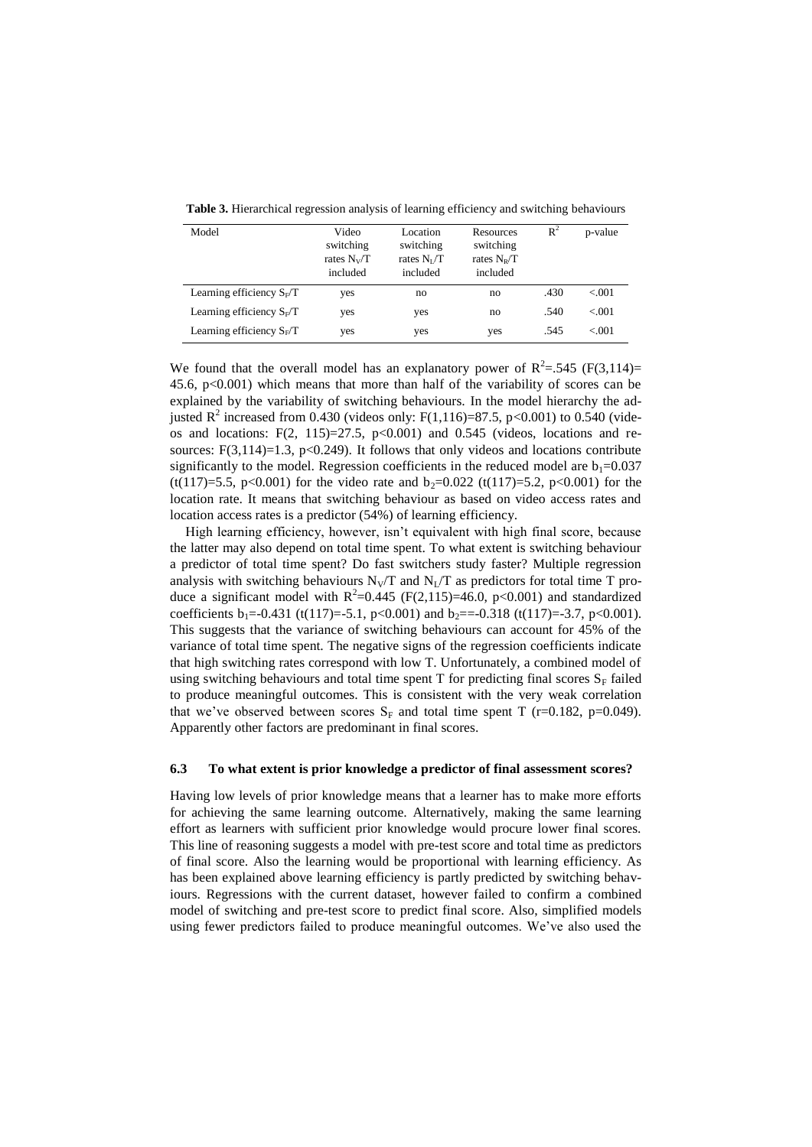| Model                       | Video<br>switching<br>rates $N_v/T$<br>included | Location<br>switching<br>rates $N_I/T$<br>included | Resources<br>switching<br>rates $N_R/T$<br>included | $R^2$ | p-value |
|-----------------------------|-------------------------------------------------|----------------------------------------------------|-----------------------------------------------------|-------|---------|
| Learning efficiency $S_F/T$ | yes                                             | no                                                 | no                                                  | .430  | < 0.01  |
| Learning efficiency $S_F/T$ | yes                                             | yes                                                | no                                                  | .540  | < 0.01  |
| Learning efficiency $S_F/T$ | yes                                             | yes                                                | yes                                                 | .545  | < 0.01  |

**Table 3.** Hierarchical regression analysis of learning efficiency and switching behaviours

We found that the overall model has an explanatory power of  $R^2 = 0.545$  (F(3,114)= 45.6,  $p<0.001$ ) which means that more than half of the variability of scores can be explained by the variability of switching behaviours. In the model hierarchy the adjusted  $R^2$  increased from 0.430 (videos only: F(1,116)=87.5, p<0.001) to 0.540 (videos and locations:  $F(2, 115)=27.5$ ,  $p<0.001$ ) and 0.545 (videos, locations and resources:  $F(3,114)=1.3$ ,  $p<0.249$ ). It follows that only videos and locations contribute significantly to the model. Regression coefficients in the reduced model are  $b_1$ =0.037 (t(117)=5.5, p<0.001) for the video rate and  $b_2=0.022$  (t(117)=5.2, p<0.001) for the location rate. It means that switching behaviour as based on video access rates and location access rates is a predictor (54%) of learning efficiency.

High learning efficiency, however, isn't equivalent with high final score, because the latter may also depend on total time spent. To what extent is switching behaviour a predictor of total time spent? Do fast switchers study faster? Multiple regression analysis with switching behaviours  $N_V/T$  and  $N_L/T$  as predictors for total time T produce a significant model with  $R^2$ =0.445 (F(2,115)=46.0, p<0.001) and standardized coefficients  $b_1 = -0.431$  (t(117)=-5.1, p<0.001) and  $b_2 = -0.318$  (t(117)=-3.7, p<0.001). This suggests that the variance of switching behaviours can account for 45% of the variance of total time spent. The negative signs of the regression coefficients indicate that high switching rates correspond with low T. Unfortunately, a combined model of using switching behaviours and total time spent  $T$  for predicting final scores  $S_F$  failed to produce meaningful outcomes. This is consistent with the very weak correlation that we've observed between scores  $S_F$  and total time spent T (r=0.182, p=0.049). Apparently other factors are predominant in final scores.

#### **6.3 To what extent is prior knowledge a predictor of final assessment scores?**

Having low levels of prior knowledge means that a learner has to make more efforts for achieving the same learning outcome. Alternatively, making the same learning effort as learners with sufficient prior knowledge would procure lower final scores. This line of reasoning suggests a model with pre-test score and total time as predictors of final score. Also the learning would be proportional with learning efficiency. As has been explained above learning efficiency is partly predicted by switching behaviours. Regressions with the current dataset, however failed to confirm a combined model of switching and pre-test score to predict final score. Also, simplified models using fewer predictors failed to produce meaningful outcomes. We've also used the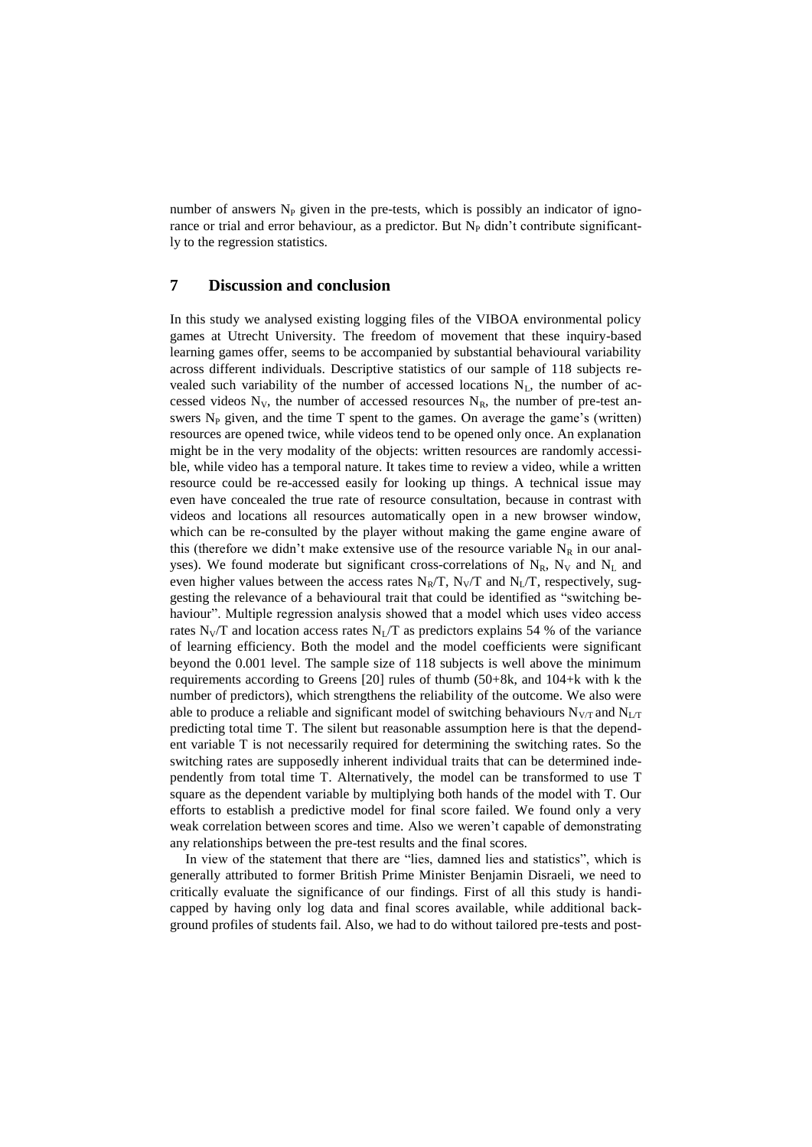number of answers  $N_P$  given in the pre-tests, which is possibly an indicator of ignorance or trial and error behaviour, as a predictor. But N<sub>P</sub> didn't contribute significantly to the regression statistics.

### **7 Discussion and conclusion**

In this study we analysed existing logging files of the VIBOA environmental policy games at Utrecht University. The freedom of movement that these inquiry-based learning games offer, seems to be accompanied by substantial behavioural variability across different individuals. Descriptive statistics of our sample of 118 subjects revealed such variability of the number of accessed locations  $N<sub>L</sub>$ , the number of accessed videos  $N_V$ , the number of accessed resources  $N_R$ , the number of pre-test answers  $N_P$  given, and the time T spent to the games. On average the game's (written) resources are opened twice, while videos tend to be opened only once. An explanation might be in the very modality of the objects: written resources are randomly accessible, while video has a temporal nature. It takes time to review a video, while a written resource could be re-accessed easily for looking up things. A technical issue may even have concealed the true rate of resource consultation, because in contrast with videos and locations all resources automatically open in a new browser window, which can be re-consulted by the player without making the game engine aware of this (therefore we didn't make extensive use of the resource variable  $N_R$  in our analyses). We found moderate but significant cross-correlations of  $N_R$ ,  $N_V$  and  $N_L$  and even higher values between the access rates  $N_R/T$ ,  $N_V/T$  and  $N_L/T$ , respectively, suggesting the relevance of a behavioural trait that could be identified as "switching behaviour". Multiple regression analysis showed that a model which uses video access rates N<sub>V</sub>/T and location access rates N<sub>L</sub>/T as predictors explains 54 % of the variance of learning efficiency. Both the model and the model coefficients were significant beyond the 0.001 level. The sample size of 118 subjects is well above the minimum requirements according to Greens [20] rules of thumb (50+8k, and 104+k with k the number of predictors), which strengthens the reliability of the outcome. We also were able to produce a reliable and significant model of switching behaviours  $N_{V/T}$  and  $N_{LT}$ predicting total time T. The silent but reasonable assumption here is that the dependent variable T is not necessarily required for determining the switching rates. So the switching rates are supposedly inherent individual traits that can be determined independently from total time T. Alternatively, the model can be transformed to use T square as the dependent variable by multiplying both hands of the model with T. Our efforts to establish a predictive model for final score failed. We found only a very weak correlation between scores and time. Also we weren't capable of demonstrating any relationships between the pre-test results and the final scores.

In view of the statement that there are "lies, damned lies and statistics", which is generally attributed to former British Prime Minister Benjamin Disraeli, we need to critically evaluate the significance of our findings. First of all this study is handicapped by having only log data and final scores available, while additional background profiles of students fail. Also, we had to do without tailored pre-tests and post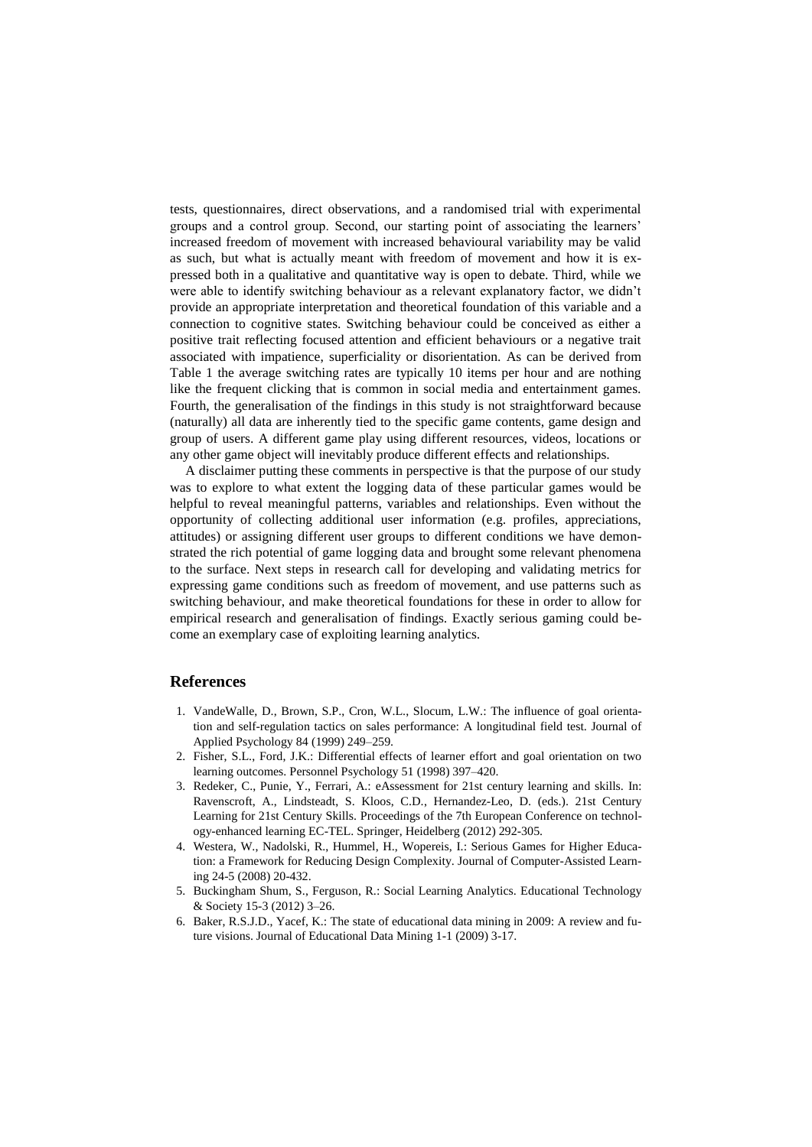tests, questionnaires, direct observations, and a randomised trial with experimental groups and a control group. Second, our starting point of associating the learners' increased freedom of movement with increased behavioural variability may be valid as such, but what is actually meant with freedom of movement and how it is expressed both in a qualitative and quantitative way is open to debate. Third, while we were able to identify switching behaviour as a relevant explanatory factor, we didn't provide an appropriate interpretation and theoretical foundation of this variable and a connection to cognitive states. Switching behaviour could be conceived as either a positive trait reflecting focused attention and efficient behaviours or a negative trait associated with impatience, superficiality or disorientation. As can be derived from Table 1 the average switching rates are typically 10 items per hour and are nothing like the frequent clicking that is common in social media and entertainment games. Fourth, the generalisation of the findings in this study is not straightforward because (naturally) all data are inherently tied to the specific game contents, game design and group of users. A different game play using different resources, videos, locations or any other game object will inevitably produce different effects and relationships.

A disclaimer putting these comments in perspective is that the purpose of our study was to explore to what extent the logging data of these particular games would be helpful to reveal meaningful patterns, variables and relationships. Even without the opportunity of collecting additional user information (e.g. profiles, appreciations, attitudes) or assigning different user groups to different conditions we have demonstrated the rich potential of game logging data and brought some relevant phenomena to the surface. Next steps in research call for developing and validating metrics for expressing game conditions such as freedom of movement, and use patterns such as switching behaviour, and make theoretical foundations for these in order to allow for empirical research and generalisation of findings. Exactly serious gaming could become an exemplary case of exploiting learning analytics.

### **References**

- 1. VandeWalle, D., Brown, S.P., Cron, W.L., Slocum, L.W.: The influence of goal orientation and self-regulation tactics on sales performance: A longitudinal field test. Journal of Applied Psychology 84 (1999) 249–259.
- 2. Fisher, S.L., Ford, J.K.: Differential effects of learner effort and goal orientation on two learning outcomes. Personnel Psychology 51 (1998) 397–420.
- 3. Redeker, C., Punie, Y., Ferrari, A.: eAssessment for 21st century learning and skills. In: Ravenscroft, A., Lindsteadt, S. Kloos, C.D., Hernandez-Leo, D. (eds.). 21st Century Learning for 21st Century Skills. Proceedings of the 7th European Conference on technology-enhanced learning EC-TEL. Springer, Heidelberg (2012) 292-305.
- 4. Westera, W., Nadolski, R., Hummel, H., Wopereis, I.: Serious Games for Higher Education: a Framework for Reducing Design Complexity. Journal of Computer-Assisted Learning 24-5 (2008) 20-432.
- 5. Buckingham Shum, S., Ferguson, R.: Social Learning Analytics. Educational Technology & Society 15-3 (2012) 3–26.
- 6. Baker, R.S.J.D., Yacef, K.: The state of educational data mining in 2009: A review and future visions. Journal of Educational Data Mining 1-1 (2009) 3-17.